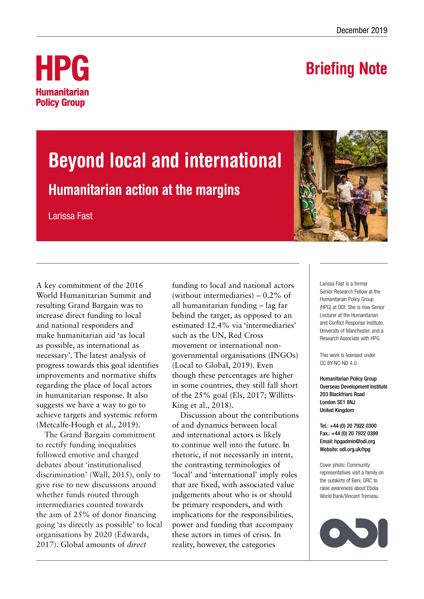## Briefing Note



# Beyond local and international

### Humanitarian action at the margins

Larissa Fast

A key commitment of the 2016 World Humanitarian Summit and resulting Grand Bargain was to increase direct funding to local and national responders and make humanitarian aid 'as local as possible, as international as necessary'. The latest analysis of progress towards this goal identifies improvements and normative shifts regarding the place of local actors in humanitarian response. It also suggests we have a way to go to achieve targets and systemic reform (Metcalfe-Hough et al., 2019).

The Grand Bargain commitment to rectify funding inequalities followed emotive and charged debates about 'institutionalised discrimination' (Wall, 2015), only to give rise to new discussions around whether funds routed through intermediaries counted towards the aim of 25% of donor financing going 'as directly as possible' to local organisations by 2020 (Edwards, 2017). Global amounts of *direct*

funding to local and national actors (without intermediaries) – 0.2% of all humanitarian funding – lag far behind the target, as opposed to an estimated 12.4% via 'intermediaries' such as the UN, Red Cross movement or international nongovernmental organisations (INGOs) (Local to Global, 2019). Even though these percentages are higher in some countries, they still fall short of the 25% goal (Els, 2017; Willitts-King et al., 2018).

Discussion about the contributions of and dynamics between local and international actors is likely to continue well into the future. In rhetoric, if not necessarily in intent, the contrasting terminologies of 'local' and 'international' imply roles that are fixed, with associated value judgements about who is or should be primary responders, and with implications for the responsibilities, power and funding that accompany these actors in times of crisis. In reality, however, the categories



Larissa Fast is a former Senior Research Fellow at the Humanitarian Policy Group (HPG) at ODI. She is now Senior Lecturer at the Humanitarian and Conflict Response Institute, University of Manchester, and a Research Associate with HPG.

This work is licensed under CC BY-NC-ND 4.0.

Humanitarian Policy Group Overseas Development Institute 203 Blackfriars Road London SE1 8NJ United Kingdom

Tel.: +44 (0) 20 7922 0300 Fax.: +44 (0) 20 7922 0399 Email: [hpgadmin@odi.org](mailto:hpgadmin%40odi.org.uk?subject=) Website: [odi.org.uk/hpg](http://www.odi.org.uk/hpg)

Cover photo: Community representatives visit a family on the outskirts of Beni, DRC to raise awareness about Ebola. World Bank/Vincent Tremeau

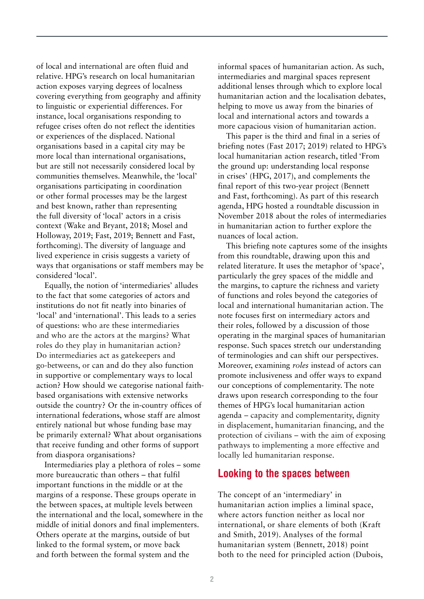of local and international are often fluid and relative. HPG's research on local humanitarian action exposes varying degrees of localness covering everything from geography and affinity to linguistic or experiential differences. For instance, local organisations responding to refugee crises often do not reflect the identities or experiences of the displaced. National organisations based in a capital city may be more local than international organisations, but are still not necessarily considered local by communities themselves. Meanwhile, the 'local' organisations participating in coordination or other formal processes may be the largest and best known, rather than representing the full diversity of 'local' actors in a crisis context (Wake and Bryant, 2018; Mosel and Holloway, 2019; Fast, 2019; Bennett and Fast, forthcoming). The diversity of language and lived experience in crisis suggests a variety of ways that organisations or staff members may be considered 'local'.

Equally, the notion of 'intermediaries' alludes to the fact that some categories of actors and institutions do not fit neatly into binaries of 'local' and 'international'. This leads to a series of questions: who are these intermediaries and who are the actors at the margins? What roles do they play in humanitarian action? Do intermediaries act as gatekeepers and go-betweens, or can and do they also function in supportive or complementary ways to local action? How should we categorise national faithbased organisations with extensive networks outside the country? Or the in-country offices of international federations, whose staff are almost entirely national but whose funding base may be primarily external? What about organisations that receive funding and other forms of support from diaspora organisations?

Intermediaries play a plethora of roles – some more bureaucratic than others – that fulfil important functions in the middle or at the margins of a response. These groups operate in the between spaces, at multiple levels between the international and the local, somewhere in the middle of initial donors and final implementers. Others operate at the margins, outside of but linked to the formal system, or move back and forth between the formal system and the

informal spaces of humanitarian action. As such, intermediaries and marginal spaces represent additional lenses through which to explore local humanitarian action and the localisation debates, helping to move us away from the binaries of local and international actors and towards a more capacious vision of humanitarian action.

This paper is the third and final in a series of briefing notes (Fast 2017; 2019) related to HPG's local humanitarian action research, titled 'From the ground up: understanding local response in crises' (HPG, 2017), and complements the final report of this two-year project (Bennett and Fast, forthcoming). As part of this research agenda, HPG hosted a roundtable discussion in November 2018 about the roles of intermediaries in humanitarian action to further explore the nuances of local action.

This briefing note captures some of the insights from this roundtable, drawing upon this and related literature. It uses the metaphor of 'space', particularly the grey spaces of the middle and the margins, to capture the richness and variety of functions and roles beyond the categories of local and international humanitarian action. The note focuses first on intermediary actors and their roles, followed by a discussion of those operating in the marginal spaces of humanitarian response. Such spaces stretch our understanding of terminologies and can shift our perspectives. Moreover, examining *roles* instead of actors can promote inclusiveness and offer ways to expand our conceptions of complementarity. The note draws upon research corresponding to the four themes of HPG's local humanitarian action agenda – capacity and complementarity, dignity in displacement, humanitarian financing, and the protection of civilians – with the aim of exposing pathways to implementing a more effective and locally led humanitarian response.

#### Looking to the spaces between

The concept of an 'intermediary' in humanitarian action implies a liminal space, where actors function neither as local nor international, or share elements of both (Kraft and Smith, 2019). Analyses of the formal humanitarian system (Bennett, 2018) point both to the need for principled action (Dubois,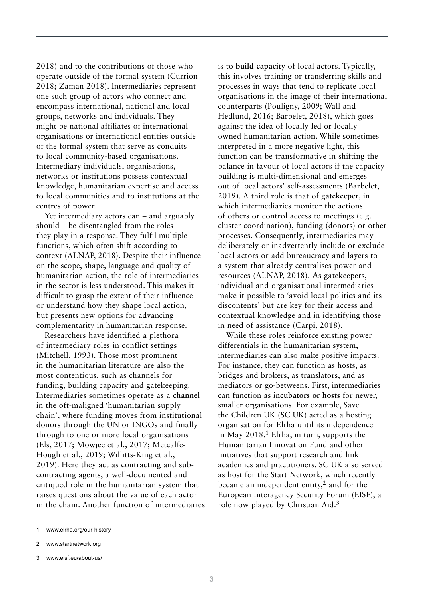2018) and to the contributions of those who operate outside of the formal system (Currion 2018; Zaman 2018). Intermediaries represent one such group of actors who connect and encompass international, national and local groups, networks and individuals. They might be national affiliates of international organisations or international entities outside of the formal system that serve as conduits to local community-based organisations. Intermediary individuals, organisations, networks or institutions possess contextual knowledge, humanitarian expertise and access to local communities and to institutions at the centres of power.

Yet intermediary actors can – and arguably should – be disentangled from the roles they play in a response. They fulfil multiple functions, which often shift according to context (ALNAP, 2018). Despite their influence on the scope, shape, language and quality of humanitarian action, the role of intermediaries in the sector is less understood. This makes it difficult to grasp the extent of their influence or understand how they shape local action, but presents new options for advancing complementarity in humanitarian response.

Researchers have identified a plethora of intermediary roles in conflict settings (Mitchell, 1993). Those most prominent in the humanitarian literature are also the most contentious, such as channels for funding, building capacity and gatekeeping. Intermediaries sometimes operate as a **channel** in the oft-maligned 'humanitarian supply chain', where funding moves from institutional donors through the UN or INGOs and finally through to one or more local organisations (Els, 2017; Mowjee et al., 2017; Metcalfe-Hough et al., 2019; Willitts-King et al., 2019). Here they act as contracting and subcontracting agents, a well-documented and critiqued role in the humanitarian system that raises questions about the value of each actor in the chain. Another function of intermediaries is to **build capacity** of local actors. Typically, this involves training or transferring skills and processes in ways that tend to replicate local organisations in the image of their international counterparts (Pouligny, 2009; Wall and Hedlund, 2016; Barbelet, 2018), which goes against the idea of locally led or locally owned humanitarian action. While sometimes interpreted in a more negative light, this function can be transformative in shifting the balance in favour of local actors if the capacity building is multi-dimensional and emerges out of local actors' self-assessments (Barbelet, 2019). A third role is that of **gatekeeper**, in which intermediaries monitor the actions of others or control access to meetings (e.g. cluster coordination), funding (donors) or other processes. Consequently, intermediaries may deliberately or inadvertently include or exclude local actors or add bureaucracy and layers to a system that already centralises power and resources (ALNAP, 2018). As gatekeepers, individual and organisational intermediaries make it possible to 'avoid local politics and its discontents' but are key for their access and contextual knowledge and in identifying those in need of assistance (Carpi, 2018).

While these roles reinforce existing power differentials in the humanitarian system, intermediaries can also make positive impacts. For instance, they can function as hosts, as bridges and brokers, as translators, and as mediators or go-betweens. First, intermediaries can function as **incubators or hosts** for newer, smaller organisations. For example, Save the Children UK (SC UK) acted as a hosting organisation for Elrha until its independence in May  $2018<sup>1</sup>$  Elrha, in turn, supports the Humanitarian Innovation Fund and other initiatives that support research and link academics and practitioners. SC UK also served as host for the Start Network, which recently became an independent entity,2 and for the European Interagency Security Forum (EISF), a role now played by Christian Aid.3

<sup>1</sup> www.elrha.org/our-history

<sup>2</sup> www.startnetwork.org

<sup>3</sup> www.eisf.eu/about-us/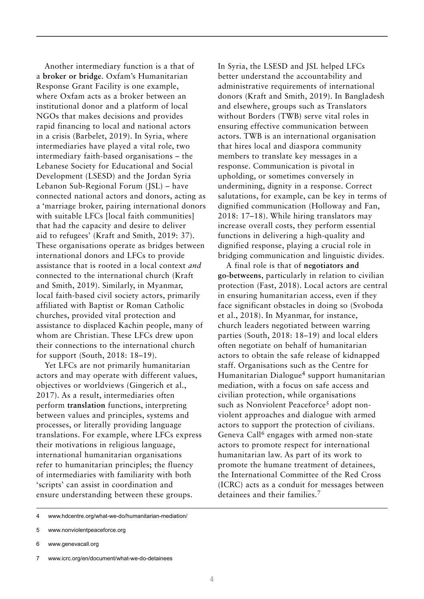Another intermediary function is a that of a **broker or bridge**. Oxfam's Humanitarian Response Grant Facility is one example, where Oxfam acts as a broker between an institutional donor and a platform of local NGOs that makes decisions and provides rapid financing to local and national actors in a crisis (Barbelet, 2019). In Syria, where intermediaries have played a vital role, two intermediary faith-based organisations – the Lebanese Society for Educational and Social Development (LSESD) and the Jordan Syria Lebanon Sub-Regional Forum (JSL) – have connected national actors and donors, acting as a 'marriage broker, pairing international donors with suitable LFCs [local faith communities] that had the capacity and desire to deliver aid to refugees' (Kraft and Smith, 2019: 37). These organisations operate as bridges between international donors and LFCs to provide assistance that is rooted in a local context *and* connected to the international church (Kraft and Smith, 2019). Similarly, in Myanmar, local faith-based civil society actors, primarily affiliated with Baptist or Roman Catholic churches, provided vital protection and assistance to displaced Kachin people, many of whom are Christian. These LFCs drew upon their connections to the international church for support (South, 2018: 18–19).

Yet LFCs are not primarily humanitarian actors and may operate with different values, objectives or worldviews (Gingerich et al., 2017). As a result, intermediaries often perform **translation** functions, interpreting between values and principles, systems and processes, or literally providing language translations. For example, where LFCs express their motivations in religious language, international humanitarian organisations refer to humanitarian principles; the fluency of intermediaries with familiarity with both 'scripts' can assist in coordination and ensure understanding between these groups.

In Syria, the LSESD and JSL helped LFCs better understand the accountability and administrative requirements of international donors (Kraft and Smith, 2019). In Bangladesh and elsewhere, groups such as Translators without Borders (TWB) serve vital roles in ensuring effective communication between actors. TWB is an international organisation that hires local and diaspora community members to translate key messages in a response. Communication is pivotal in upholding, or sometimes conversely in undermining, dignity in a response. Correct salutations, for example, can be key in terms of dignified communication (Holloway and Fan, 2018: 17–18). While hiring translators may increase overall costs, they perform essential functions in delivering a high-quality and dignified response, playing a crucial role in bridging communication and linguistic divides.

A final role is that of **negotiators and go-betweens**, particularly in relation to civilian protection (Fast, 2018). Local actors are central in ensuring humanitarian access, even if they face significant obstacles in doing so (Svoboda et al., 2018). In Myanmar, for instance, church leaders negotiated between warring parties (South, 2018: 18–19) and local elders often negotiate on behalf of humanitarian actors to obtain the safe release of kidnapped staff. Organisations such as the Centre for Humanitarian Dialogue4 support humanitarian mediation, with a focus on safe access and civilian protection, while organisations such as Nonviolent Peaceforce<sup>5</sup> adopt nonviolent approaches and dialogue with armed actors to support the protection of civilians. Geneva Call<sup>6</sup> engages with armed non-state actors to promote respect for international humanitarian law. As part of its work to promote the humane treatment of detainees, the International Committee of the Red Cross (ICRC) acts as a conduit for messages between detainees and their families.<sup>7</sup>

<sup>4</sup> [www.hdcentre.org/what-we-do/humanitarian-mediation/](http://www.hdcentre.org/what-we-do/humanitarian-mediation/)

<sup>5</sup> [www.nonviolentpeaceforce.org](http://www.nonviolentpeaceforce.org/)

<sup>6</sup> [www.genevacall.org](http://www.genevacall.org/) 

<sup>7</sup> [www.icrc.org/en/document/what-we-do-detainees](http://www.icrc.org/en/document/what-we-do-detainees)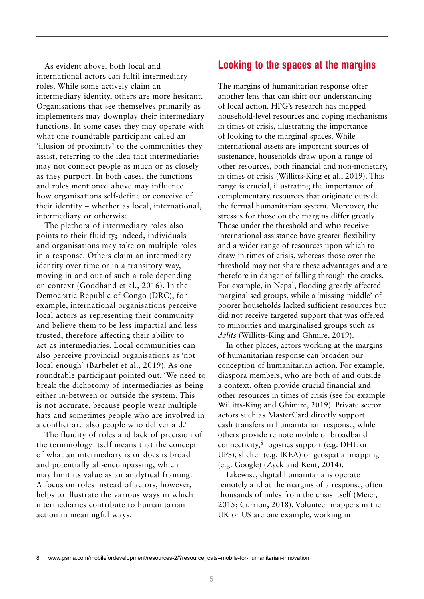As evident above, both local and international actors can fulfil intermediary roles. While some actively claim an intermediary identity, others are more hesitant. Organisations that see themselves primarily as implementers may downplay their intermediary functions. In some cases they may operate with what one roundtable participant called an 'illusion of proximity' to the communities they assist, referring to the idea that intermediaries may not connect people as much or as closely as they purport. In both cases, the functions and roles mentioned above may influence how organisations self-define or conceive of their identity – whether as local, international, intermediary or otherwise.

The plethora of intermediary roles also points to their fluidity; indeed, individuals and organisations may take on multiple roles in a response. Others claim an intermediary identity over time or in a transitory way, moving in and out of such a role depending on context (Goodhand et al., 2016). In the Democratic Republic of Congo (DRC), for example, international organisations perceive local actors as representing their community and believe them to be less impartial and less trusted, therefore affecting their ability to act as intermediaries. Local communities can also perceive provincial organisations as 'not local enough' (Barbelet et al., 2019). As one roundtable participant pointed out, 'We need to break the dichotomy of intermediaries as being either in-between or outside the system. This is not accurate, because people wear multiple hats and sometimes people who are involved in a conflict are also people who deliver aid.'

The fluidity of roles and lack of precision of the terminology itself means that the concept of what an intermediary is or does is broad and potentially all-encompassing, which may limit its value as an analytical framing. A focus on roles instead of actors, however, helps to illustrate the various ways in which intermediaries contribute to humanitarian action in meaningful ways.

#### Looking to the spaces at the margins

The margins of humanitarian response offer another lens that can shift our understanding of local action. HPG's research has mapped household-level resources and coping mechanisms in times of crisis, illustrating the importance of looking to the marginal spaces. While international assets are important sources of sustenance, households draw upon a range of other resources, both financial and non-monetary, in times of crisis (Willitts-King et al., 2019). This range is crucial, illustrating the importance of complementary resources that originate outside the formal humanitarian system. Moreover, the stresses for those on the margins differ greatly. Those under the threshold and who receive international assistance have greater flexibility and a wider range of resources upon which to draw in times of crisis, whereas those over the threshold may not share these advantages and are therefore in danger of falling through the cracks. For example, in Nepal, flooding greatly affected marginalised groups, while a 'missing middle' of poorer households lacked sufficient resources but did not receive targeted support that was offered to minorities and marginalised groups such as *dalits* (Willitts-King and Ghmire, 2019).

In other places, actors working at the margins of humanitarian response can broaden our conception of humanitarian action. For example, diaspora members, who are both of and outside a context, often provide crucial financial and other resources in times of crisis (see for example Willitts-King and Ghimire, 2019). Private sector actors such as MasterCard directly support cash transfers in humanitarian response, while others provide remote mobile or broadband connectivity, $8$  logistics support (e.g. DHL or UPS), shelter (e.g. IKEA) or geospatial mapping (e.g. Google) (Zyck and Kent, 2014).

Likewise, digital humanitarians operate remotely and at the margins of a response, often thousands of miles from the crisis itself (Meier, 2015; Currion, 2018). Volunteer mappers in the UK or US are one example, working in

<sup>8</sup> [www.gsma.com/mobilefordevelopment/resources-2/?resource\\_cats=mobile-for-humanitarian-innovation](http://www.gsma.com/mobilefordevelopment/resources-2/?resource_cats=mobile-for-humanitarian-innovation)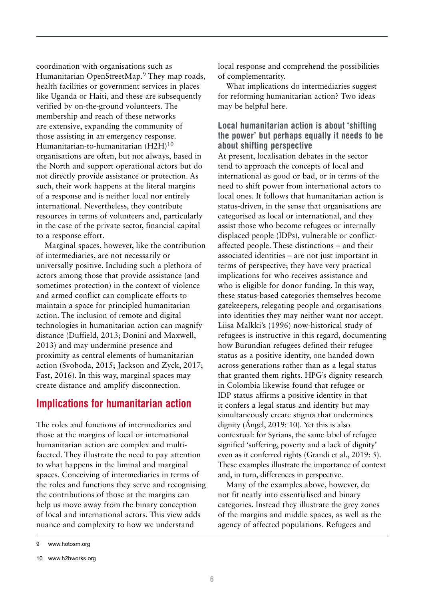coordination with organisations such as Humanitarian OpenStreetMap.<sup>9</sup> They map roads, health facilities or government services in places like Uganda or Haiti, and these are subsequently verified by on-the-ground volunteers. The membership and reach of these networks are extensive, expanding the community of those assisting in an emergency response. Humanitarian-to-humanitarian (H2H)<sup>10</sup> organisations are often, but not always, based in the North and support operational actors but do not directly provide assistance or protection. As such, their work happens at the literal margins of a response and is neither local nor entirely international. Nevertheless, they contribute resources in terms of volunteers and, particularly in the case of the private sector, financial capital to a response effort.

Marginal spaces, however, like the contribution of intermediaries, are not necessarily or universally positive. Including such a plethora of actors among those that provide assistance (and sometimes protection) in the context of violence and armed conflict can complicate efforts to maintain a space for principled humanitarian action. The inclusion of remote and digital technologies in humanitarian action can magnify distance (Duffield, 2013; Donini and Maxwell, 2013) and may undermine presence and proximity as central elements of humanitarian action (Svoboda, 2015; Jackson and Zyck, 2017; Fast, 2016). In this way, marginal spaces may create distance and amplify disconnection.

#### Implications for humanitarian action

The roles and functions of intermediaries and those at the margins of local or international humanitarian action are complex and multifaceted. They illustrate the need to pay attention to what happens in the liminal and marginal spaces. Conceiving of intermediaries in terms of the roles and functions they serve and recognising the contributions of those at the margins can help us move away from the binary conception of local and international actors. This view adds nuance and complexity to how we understand

local response and comprehend the possibilities of complementarity.

What implications do intermediaries suggest for reforming humanitarian action? Two ideas may be helpful here.

#### Local humanitarian action is about 'shifting the power' but perhaps equally it needs to be about shifting perspective

At present, localisation debates in the sector tend to approach the concepts of local and international as good or bad, or in terms of the need to shift power from international actors to local ones. It follows that humanitarian action is status-driven, in the sense that organisations are categorised as local or international, and they assist those who become refugees or internally displaced people (IDPs), vulnerable or conflictaffected people. These distinctions – and their associated identities – are not just important in terms of perspective; they have very practical implications for who receives assistance and who is eligible for donor funding. In this way, these status-based categories themselves become gatekeepers, relegating people and organisations into identities they may neither want nor accept. Liisa Malkki's (1996) now-historical study of refugees is instructive in this regard, documenting how Burundian refugees defined their refugee status as a positive identity, one handed down across generations rather than as a legal status that granted them rights. HPG's dignity research in Colombia likewise found that refugee or IDP status affirms a positive identity in that it confers a legal status and identity but may simultaneously create stigma that undermines dignity (Ángel, 2019: 10). Yet this is also contextual: for Syrians, the same label of refugee signified 'suffering, poverty and a lack of dignity' even as it conferred rights (Grandi et al., 2019: 5). These examples illustrate the importance of context and, in turn, differences in perspective.

Many of the examples above, however, do not fit neatly into essentialised and binary categories. Instead they illustrate the grey zones of the margins and middle spaces, as well as the agency of affected populations. Refugees and

<sup>9</sup> [www.hotosm.org](http://www.hotosm.org/)

<sup>10</sup> [www.h2hworks.org](http://www.h2hworks.org/)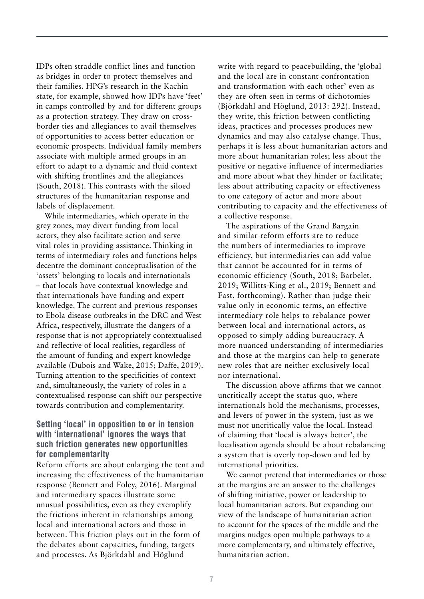IDPs often straddle conflict lines and function as bridges in order to protect themselves and their families. HPG's research in the Kachin state, for example, showed how IDPs have 'feet' in camps controlled by and for different groups as a protection strategy. They draw on crossborder ties and allegiances to avail themselves of opportunities to access better education or economic prospects. Individual family members associate with multiple armed groups in an effort to adapt to a dynamic and fluid context with shifting frontlines and the allegiances (South, 2018). This contrasts with the siloed structures of the humanitarian response and labels of displacement.

While intermediaries, which operate in the grey zones, may divert funding from local actors, they also facilitate action and serve vital roles in providing assistance. Thinking in terms of intermediary roles and functions helps decentre the dominant conceptualisation of the 'assets' belonging to locals and internationals – that locals have contextual knowledge and that internationals have funding and expert knowledge. The current and previous responses to Ebola disease outbreaks in the DRC and West Africa, respectively, illustrate the dangers of a response that is not appropriately contextualised and reflective of local realities, regardless of the amount of funding and expert knowledge available (Dubois and Wake, 2015; Daffe, 2019). Turning attention to the specificities of context and, simultaneously, the variety of roles in a contextualised response can shift our perspective towards contribution and complementarity.

#### Setting 'local' in opposition to or in tension with 'international' ignores the ways that such friction generates new opportunities for complementarity

Reform efforts are about enlarging the tent and increasing the effectiveness of the humanitarian response (Bennett and Foley, 2016). Marginal and intermediary spaces illustrate some unusual possibilities, even as they exemplify the frictions inherent in relationships among local and international actors and those in between. This friction plays out in the form of the debates about capacities, funding, targets and processes. As Björkdahl and Höglund

write with regard to peacebuilding, the 'global and the local are in constant confrontation and transformation with each other' even as they are often seen in terms of dichotomies (Björkdahl and Höglund, 2013: 292). Instead, they write, this friction between conflicting ideas, practices and processes produces new dynamics and may also catalyse change. Thus, perhaps it is less about humanitarian actors and more about humanitarian roles; less about the positive or negative influence of intermediaries and more about what they hinder or facilitate; less about attributing capacity or effectiveness to one category of actor and more about contributing to capacity and the effectiveness of a collective response.

The aspirations of the Grand Bargain and similar reform efforts are to reduce the numbers of intermediaries to improve efficiency, but intermediaries can add value that cannot be accounted for in terms of economic efficiency (South, 2018; Barbelet, 2019; Willitts-King et al., 2019; Bennett and Fast, forthcoming). Rather than judge their value only in economic terms, an effective intermediary role helps to rebalance power between local and international actors, as opposed to simply adding bureaucracy. A more nuanced understanding of intermediaries and those at the margins can help to generate new roles that are neither exclusively local nor international.

The discussion above affirms that we cannot uncritically accept the status quo, where internationals hold the mechanisms, processes, and levers of power in the system, just as we must not uncritically value the local. Instead of claiming that 'local is always better', the localisation agenda should be about rebalancing a system that is overly top-down and led by international priorities.

We cannot pretend that intermediaries or those at the margins are an answer to the challenges of shifting initiative, power or leadership to local humanitarian actors. But expanding our view of the landscape of humanitarian action to account for the spaces of the middle and the margins nudges open multiple pathways to a more complementary, and ultimately effective, humanitarian action.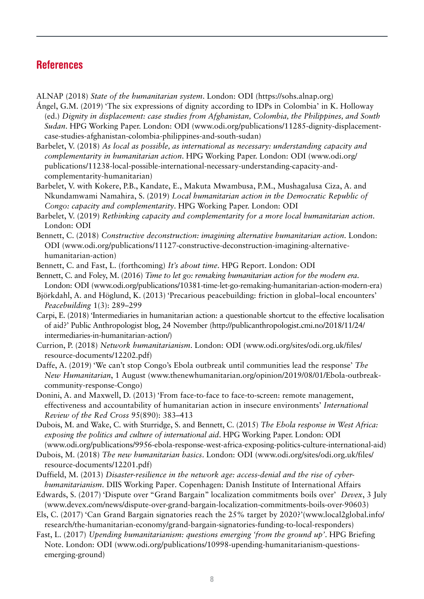#### **References**

ALNAP (2018) *State of the humanitarian system*. London: ODI (https://sohs.alnap.org)

- Ángel, G.M. (2019) 'The six expressions of dignity according to IDPs in Colombia' in K. Holloway (ed.) *Dignity in displacement: case studies from Afghanistan, Colombia, the Philippines, and South Sudan*. HPG Working Paper. London: ODI (www.odi.org/publications/11285-dignity-displacementcase-studies-afghanistan-colombia-philippines-and-south-sudan)
- Barbelet, V. (2018) *As local as possible, as international as necessary: understanding capacity and complementarity in humanitarian action*. HPG Working Paper. London: ODI (www.odi.org/ publications/11238-local-possible-international-necessary-understanding-capacity-andcomplementarity-humanitarian)
- Barbelet, V. with Kokere, P.B., Kandate, E., Makuta Mwambusa, P.M., Mushagalusa Ciza, A. and Nkundamwami Namahira, S. (2019) *Local humanitarian action in the Democratic Republic of Congo: capacity and complementarity*. HPG Working Paper. London: ODI
- Barbelet, V. (2019) *Rethinking capacity and complementarity for a more local humanitarian action*. London: ODI
- Bennett, C. (2018) *Constructive deconstruction: imagining alternative humanitarian action.* London: ODI (www.odi.org/publications/11127-constructive-deconstruction-imagining-alternativehumanitarian-action)
- Bennett, C. and Fast, L. (forthcoming) *It's about time*. HPG Report. London: ODI

Bennett, C. and Foley, M. (2016) *Time to let go: remaking humanitarian action for the modern era*. London: ODI (www.odi.org/publications/10381-time-let-go-remaking-humanitarian-action-modern-era)

- Björkdahl, A. and Höglund, K. (2013) 'Precarious peacebuilding: friction in global–local encounters' *Peacebuilding* 1(3): 289–299
- Carpi, E. (2018) 'Intermediaries in humanitarian action: a questionable shortcut to the effective localisation of aid?' Public Anthropologist blog, 24 November [\(http://publicanthropologist.cmi.no/2018/11/24/](http://publicanthropologist.cmi.no/2018/11/24/intermediaries-in-humanitarian-action/?fbclid=IwAR2dcpaRdBsR2SQbdQOJ69xAznZqPg6fqNfvRws7HhRq_dJ7rEonWBR6BZo) [intermediaries-in-humanitarian-action/](http://publicanthropologist.cmi.no/2018/11/24/intermediaries-in-humanitarian-action/?fbclid=IwAR2dcpaRdBsR2SQbdQOJ69xAznZqPg6fqNfvRws7HhRq_dJ7rEonWBR6BZo))
- Currion, P. (2018) *Network humanitarianism*. London: ODI (www.odi.org/sites/odi.org.uk/files/ resource-documents/12202.pdf)
- Daffe, A. (2019) 'We can't stop Congo's Ebola outbreak until communities lead the response' *The New Humanitarian*, 1 August [\(www.thenewhumanitarian.org/opinion/2019/08/01/Ebola-outbreak](https://www.thenewhumanitarian.org/opinion/2019/08/01/Ebola-outbreak-community-response-Congo)[community-response-Congo](https://www.thenewhumanitarian.org/opinion/2019/08/01/Ebola-outbreak-community-response-Congo))
- Donini, A. and Maxwell, D. (2013) 'From face-to-face to face-to-screen: remote management, effectiveness and accountability of humanitarian action in insecure environments' *International Review of the Red Cross* 95(890): 383–413
- Dubois, M. and Wake, C. with Sturridge, S. and Bennett, C. (2015) *The Ebola response in West Africa: exposing the politics and culture of international aid*. HPG Working Paper. London: ODI (www.odi.org/publications/9956-ebola-response-west-africa-exposing-politics-culture-international-aid)
- Dubois, M. (2018) *The new humanitarian basics*. London: ODI (www.odi.org/sites/odi.org.uk/files/ resource-documents/12201.pdf)
- Duffield, M. (2013) *Disaster-resilience in the network age: access-denial and the rise of cyberhumanitarianism*. DIIS Working Paper*.* Copenhagen: Danish Institute of International Affairs
- Edwards, S. (2017) 'Dispute over "Grand Bargain" localization commitments boils over' *Devex*, 3 July [\(www.devex.com/news/dispute-over-grand-bargain-localization-commitments-boils-over-90603](http://www.devex.com/news/dispute-over-grand-bargain-localization-commitments-boils-over-90603))
- Els, C. (2017) 'Can Grand Bargain signatories reach the 25% target by 2020?'[\(www.local2global.info/](https://www.local2global.info/research/the-humanitarian-economy/grand-bargain-signatories-funding-to-local-responders) [research/the-humanitarian-economy/grand-bargain-signatories-funding-to-local-responders](https://www.local2global.info/research/the-humanitarian-economy/grand-bargain-signatories-funding-to-local-responders))
- Fast, L. (2017) *Upending humanitarianism: questions emerging 'from the ground up'*. HPG Briefing Note. London: ODI (www.odi.org/publications/10998-upending-humanitarianism-questionsemerging-ground)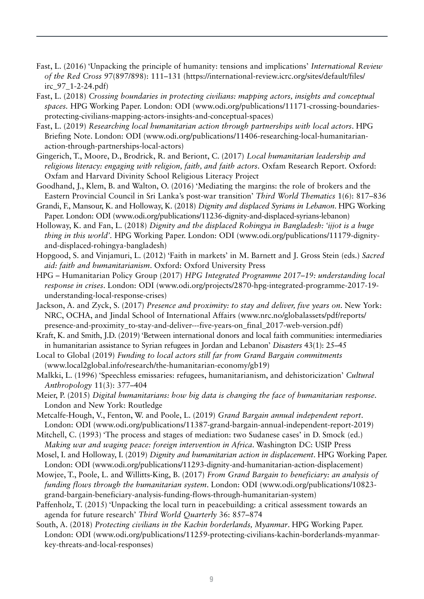- Fast, L. (2016) 'Unpacking the principle of humanity: tensions and implications' *International Review of the Red Cross* 97(897/898): 111–131 (https://international-review.icrc.org/sites/default/files/ irc\_97\_1-2-24.pdf)
- Fast, L. (2018) *Crossing boundaries in protecting civilians: mapping actors, insights and conceptual spaces.* HPG Working Paper. London: ODI (www.odi.org/publications/11171-crossing-boundariesprotecting-civilians-mapping-actors-insights-and-conceptual-spaces)
- Fast, L. (2019) *Researching local humanitarian action through partnerships with local actors*. HPG Briefing Note. London: ODI (www.odi.org/publications/11406-researching-local-humanitarianaction-through-partnerships-local-actors)
- Gingerich, T., Moore, D., Brodrick, R. and Beriont, C. (2017) *Local humanitarian leadership and religious literacy: engaging with religion, faith, and faith actors*. Oxfam Research Report. Oxford: Oxfam and Harvard Divinity School Religious Literacy Project
- Goodhand, J., Klem, B. and Walton, O. (2016) 'Mediating the margins: the role of brokers and the Eastern Provincial Council in Sri Lanka's post-war transition' *Third World Thematics* 1(6): 817–836
- Grandi, F., Mansour, K. and Holloway, K. (2018) *Dignity and displaced Syrians in Lebanon*. HPG Working Paper. London: ODI (www.odi.org/publications/11236-dignity-and-displaced-syrians-lebanon)
- Holloway, K. and Fan, L. (2018) *Dignity and the displaced Rohingya in Bangladesh: 'ijjot is a huge thing in this world'.* HPG Working Paper. London: ODI (www.odi.org/publications/11179-dignityand-displaced-rohingya-bangladesh)
- Hopgood, S. and Vinjamuri, L. (2012) 'Faith in markets' in M. Barnett and J. Gross Stein (eds.) *Sacred aid: faith and humanitarianism*. Oxford: Oxford University Press
- HPG Humanitarian Policy Group (2017) *HPG Integrated Programme 2017–19: understanding local response in crises*. London: ODI [\(www.odi.org/projects/2870-hpg-integrated-programme-2017-19](https://www.odi.org/projects/2870-hpg-integrated-programme-2017-19-understanding-local-response-crises) [understanding-local-response-crises\)](https://www.odi.org/projects/2870-hpg-integrated-programme-2017-19-understanding-local-response-crises)
- Jackson, A. and Zyck, S. (2017) *Presence and proximity: to stay and deliver, five years on*. New York: NRC, OCHA, and Jindal School of International Affairs ([www.nrc.no/globalassets/pdf/reports/](http://www.nrc.no/globalassets/pdf/reports/presence-and-proximity_to-stay-and-deliver---five-years-on_final_2017-web-version.pdf) [presence-and-proximity\\_to-stay-and-deliver---five-years-on\\_final\\_2017-web-version.pdf](http://www.nrc.no/globalassets/pdf/reports/presence-and-proximity_to-stay-and-deliver---five-years-on_final_2017-web-version.pdf))
- Kraft, K. and Smith, J.D. (2019) 'Between international donors and local faith communities: intermediaries in humanitarian assistance to Syrian refugees in Jordan and Lebanon' *Disasters* 43(1): 25–45
- Local to Global (2019) *Funding to local actors still far from Grand Bargain commitments*  (www.local2global.info/research/the-humanitarian-economy/gb19)
- Malkki, L. (1996) 'Speechless emissaries: refugees, humanitarianism, and dehistoricization' *Cultural Anthropology* 11(3): 377–404
- Meier, P. (2015) *Digital humanitarians: how big data is changing the face of humanitarian response*. London and New York: Routledge
- Metcalfe-Hough, V., Fenton, W. and Poole, L. (2019) *Grand Bargain annual independent report*. London: ODI ([www.odi.org/publications/11387-grand-bargain-annual-independent-report-2019](http://www.odi.org/publications/11387-grand-bargain-annual-independent-report-2019))
- Mitchell, C. (1993) 'The process and stages of mediation: two Sudanese cases' in D. Smock (ed.) *Making war and waging peace: foreign intervention in Africa*. Washington DC: USIP Press
- Mosel, I. and Holloway, I. (2019) *Dignity and humanitarian action in displacement*. HPG Working Paper. London: ODI [\(www.odi.org/publications/11293-dignity-and-humanitarian-action-displacement\)](http://www.odi.org/publications/11293-dignity-and-humanitarian-action-displacement)
- Mowjee, T., Poole, L. and Willitts-King, B. (2017) *From Grand Bargain to beneficiary: an analysis of funding flows through the humanitarian system*. London: ODI (www.odi.org/publications/10823 grand-bargain-beneficiary-analysis-funding-flows-through-humanitarian-system)
- Paffenholz, T. (2015) 'Unpacking the local turn in peacebuilding: a critical assessment towards an agenda for future research' *Third World Quarterly* 36: 857–874
- South, A. (2018) *Protecting civilians in the Kachin borderlands, Myanmar*. HPG Working Paper. London: ODI (www.odi.org/publications/11259-protecting-civilians-kachin-borderlands-myanmarkey-threats-and-local-responses)